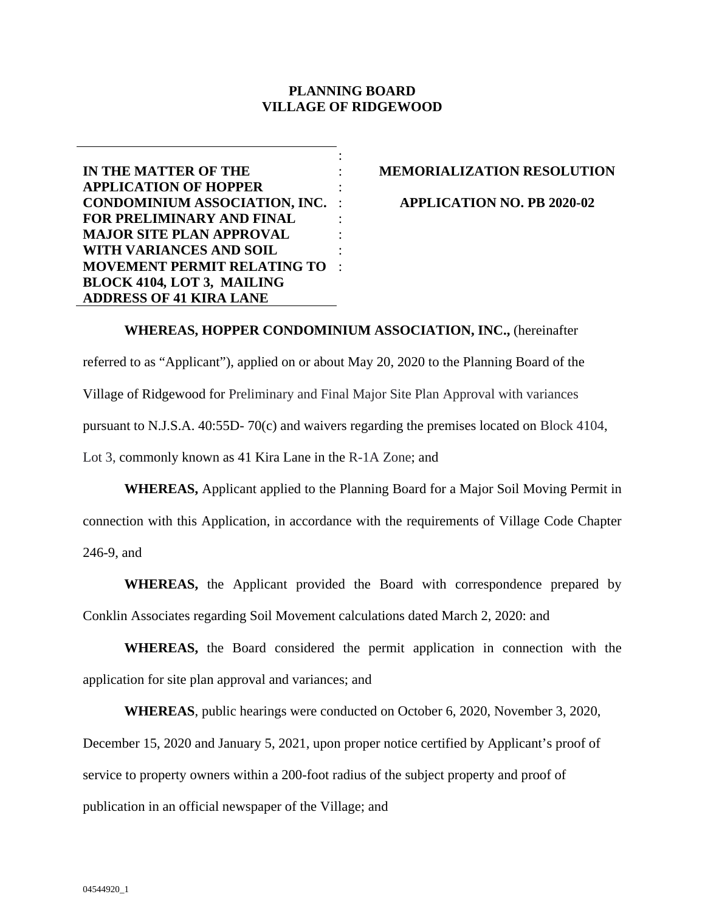# **PLANNING BOARD VILLAGE OF RIDGEWOOD**

: : :

: : :

**IN THE MATTER OF THE APPLICATION OF HOPPER CONDOMINIUM ASSOCIATION, INC.**  : **FOR PRELIMINARY AND FINAL MAJOR SITE PLAN APPROVAL WITH VARIANCES AND SOIL MOVEMENT PERMIT RELATING TO**  : **BLOCK 4104***,* **LOT 3, MAILING ADDRESS OF 41 KIRA LANE**

# **MEMORIALIZATION RESOLUTION**

**APPLICATION NO. PB 2020-02**

**WHEREAS, HOPPER CONDOMINIUM ASSOCIATION, INC.,** (hereinafter referred to as "Applicant"), applied on or about May 20, 2020 to the Planning Board of the Village of Ridgewood for Preliminary and Final Major Site Plan Approval with variances pursuant to N.J.S.A. 40:55D- 70(c) and waivers regarding the premises located on Block 4104, Lot 3, commonly known as 41 Kira Lane in the R-1A Zone; and

**WHEREAS,** Applicant applied to the Planning Board for a Major Soil Moving Permit in connection with this Application, in accordance with the requirements of Village Code Chapter 246-9, and

**WHEREAS,** the Applicant provided the Board with correspondence prepared by Conklin Associates regarding Soil Movement calculations dated March 2, 2020: and

**WHEREAS,** the Board considered the permit application in connection with the application for site plan approval and variances; and

**WHEREAS**, public hearings were conducted on October 6, 2020, November 3, 2020, December 15, 2020 and January 5, 2021, upon proper notice certified by Applicant's proof of service to property owners within a 200-foot radius of the subject property and proof of publication in an official newspaper of the Village; and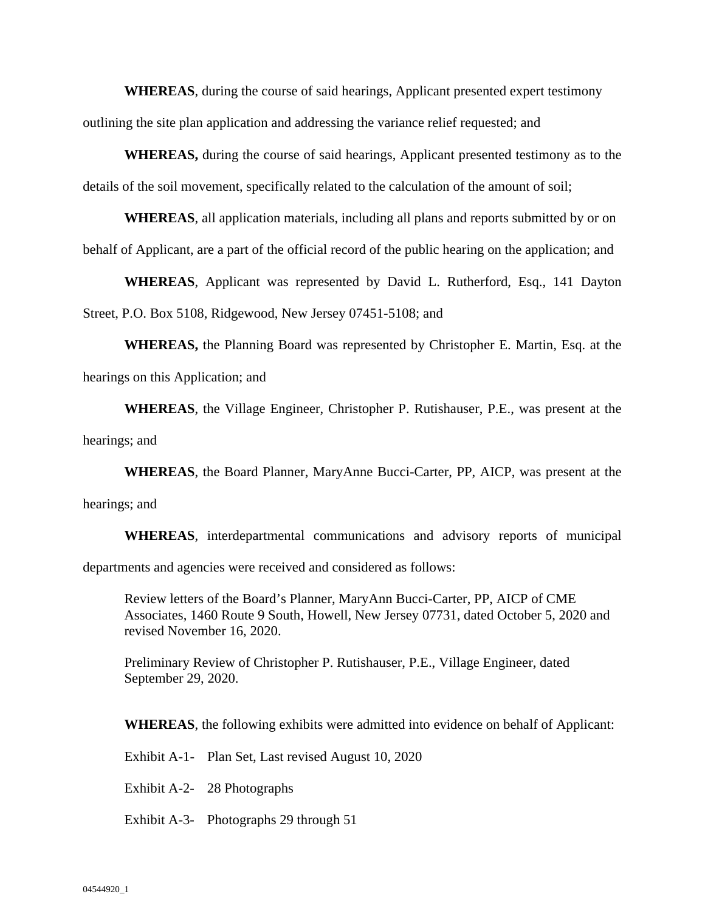**WHEREAS**, during the course of said hearings, Applicant presented expert testimony outlining the site plan application and addressing the variance relief requested; and

**WHEREAS,** during the course of said hearings, Applicant presented testimony as to the details of the soil movement, specifically related to the calculation of the amount of soil;

**WHEREAS**, all application materials, including all plans and reports submitted by or on behalf of Applicant, are a part of the official record of the public hearing on the application; and

**WHEREAS**, Applicant was represented by David L. Rutherford, Esq., 141 Dayton Street, P.O. Box 5108, Ridgewood, New Jersey 07451-5108; and

**WHEREAS,** the Planning Board was represented by Christopher E. Martin, Esq. at the hearings on this Application; and

**WHEREAS**, the Village Engineer, Christopher P. Rutishauser, P.E., was present at the hearings; and

**WHEREAS**, the Board Planner, MaryAnne Bucci-Carter, PP, AICP, was present at the hearings; and

**WHEREAS**, interdepartmental communications and advisory reports of municipal departments and agencies were received and considered as follows:

Review letters of the Board's Planner, MaryAnn Bucci-Carter, PP, AICP of CME Associates, 1460 Route 9 South, Howell, New Jersey 07731, dated October 5, 2020 and revised November 16, 2020.

Preliminary Review of Christopher P. Rutishauser, P.E., Village Engineer, dated September 29, 2020.

**WHEREAS**, the following exhibits were admitted into evidence on behalf of Applicant:

Exhibit A-1- Plan Set, Last revised August 10, 2020

Exhibit A-2- 28 Photographs

Exhibit A-3- Photographs 29 through 51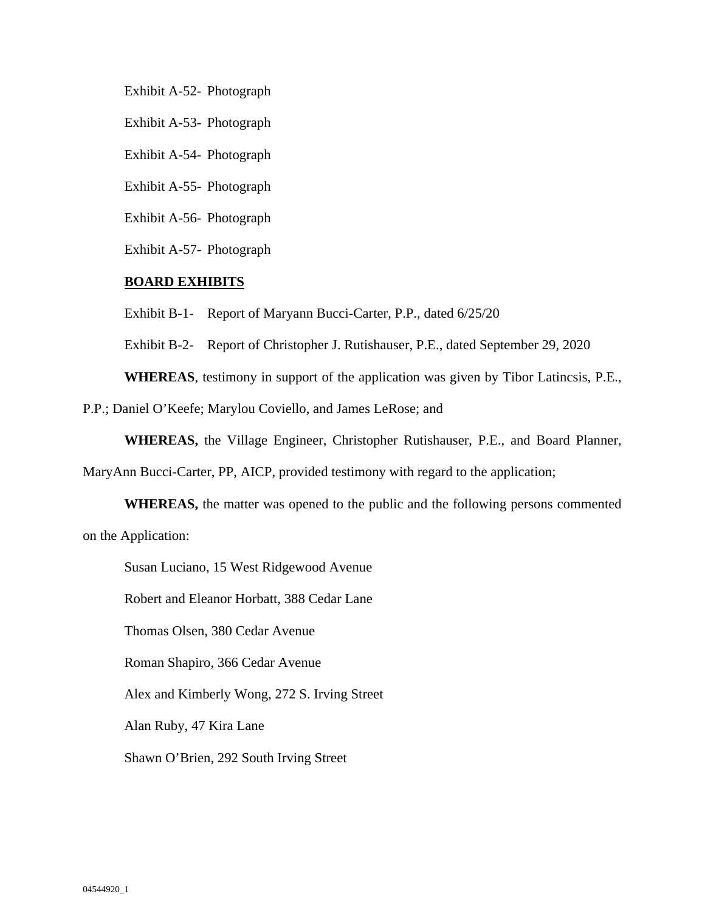Exhibit A-52- Photograph

Exhibit A-53- Photograph

Exhibit A-54- Photograph

Exhibit A-55- Photograph

Exhibit A-56- Photograph

Exhibit A-57- Photograph

### **BOARD EXHIBITS**

Exhibit B-1- Report of Maryann Bucci-Carter, P.P., dated 6/25/20

Exhibit B-2- Report of Christopher J. Rutishauser, P.E., dated September 29, 2020

**WHEREAS**, testimony in support of the application was given by Tibor Latincsis, P.E.,

P.P.; Daniel O'Keefe; Marylou Coviello, and James LeRose; and

**WHEREAS,** the Village Engineer, Christopher Rutishauser, P.E., and Board Planner,

MaryAnn Bucci-Carter, PP, AICP, provided testimony with regard to the application;

**WHEREAS,** the matter was opened to the public and the following persons commented on the Application:

Susan Luciano, 15 West Ridgewood Avenue

Robert and Eleanor Horbatt, 388 Cedar Lane

Thomas Olsen, 380 Cedar Avenue

Roman Shapiro, 366 Cedar Avenue

Alex and Kimberly Wong, 272 S. Irving Street

Alan Ruby, 47 Kira Lane

Shawn O'Brien, 292 South Irving Street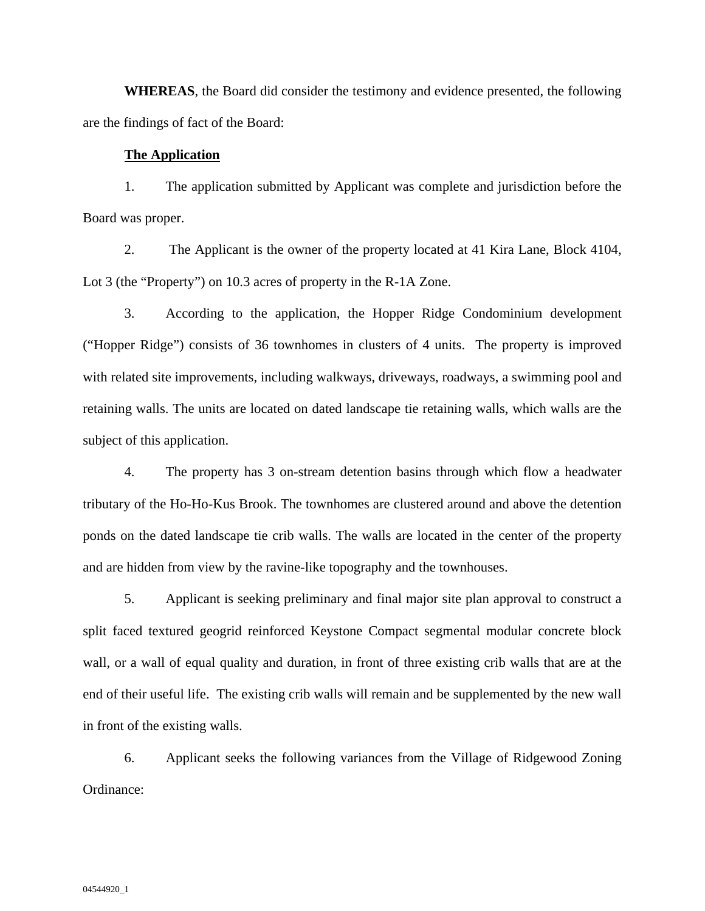**WHEREAS**, the Board did consider the testimony and evidence presented, the following are the findings of fact of the Board:

# **The Application**

1. The application submitted by Applicant was complete and jurisdiction before the Board was proper.

2. The Applicant is the owner of the property located at 41 Kira Lane, Block 4104, Lot 3 (the "Property") on 10.3 acres of property in the R-1A Zone.

3. According to the application, the Hopper Ridge Condominium development ("Hopper Ridge") consists of 36 townhomes in clusters of 4 units. The property is improved with related site improvements, including walkways, driveways, roadways, a swimming pool and retaining walls. The units are located on dated landscape tie retaining walls, which walls are the subject of this application.

4. The property has 3 on-stream detention basins through which flow a headwater tributary of the Ho-Ho-Kus Brook. The townhomes are clustered around and above the detention ponds on the dated landscape tie crib walls. The walls are located in the center of the property and are hidden from view by the ravine-like topography and the townhouses.

5. Applicant is seeking preliminary and final major site plan approval to construct a split faced textured geogrid reinforced Keystone Compact segmental modular concrete block wall, or a wall of equal quality and duration, in front of three existing crib walls that are at the end of their useful life. The existing crib walls will remain and be supplemented by the new wall in front of the existing walls.

6. Applicant seeks the following variances from the Village of Ridgewood Zoning Ordinance: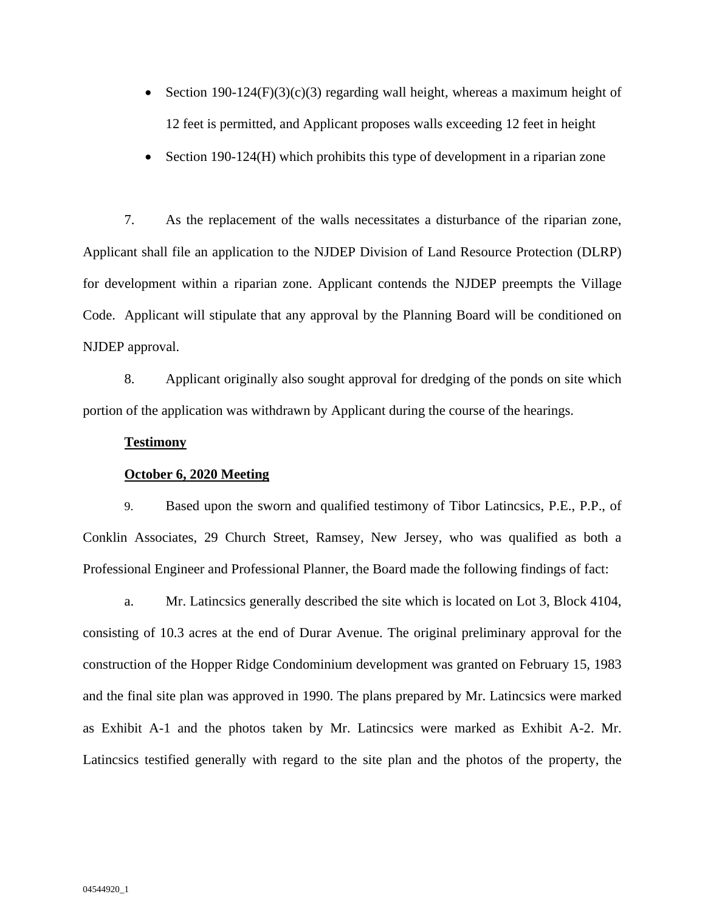- Section 190-124 $(F)(3)(c)(3)$  regarding wall height, whereas a maximum height of 12 feet is permitted, and Applicant proposes walls exceeding 12 feet in height
- Section 190-124(H) which prohibits this type of development in a riparian zone

7. As the replacement of the walls necessitates a disturbance of the riparian zone, Applicant shall file an application to the NJDEP Division of Land Resource Protection (DLRP) for development within a riparian zone. Applicant contends the NJDEP preempts the Village Code. Applicant will stipulate that any approval by the Planning Board will be conditioned on NJDEP approval.

8. Applicant originally also sought approval for dredging of the ponds on site which portion of the application was withdrawn by Applicant during the course of the hearings.

### **Testimony**

### **October 6, 2020 Meeting**

9. Based upon the sworn and qualified testimony of Tibor Latincsics, P.E., P.P., of Conklin Associates, 29 Church Street, Ramsey, New Jersey, who was qualified as both a Professional Engineer and Professional Planner, the Board made the following findings of fact:

a. Mr. Latincsics generally described the site which is located on Lot 3, Block 4104, consisting of 10.3 acres at the end of Durar Avenue. The original preliminary approval for the construction of the Hopper Ridge Condominium development was granted on February 15, 1983 and the final site plan was approved in 1990. The plans prepared by Mr. Latincsics were marked as Exhibit A-1 and the photos taken by Mr. Latincsics were marked as Exhibit A-2. Mr. Latincsics testified generally with regard to the site plan and the photos of the property, the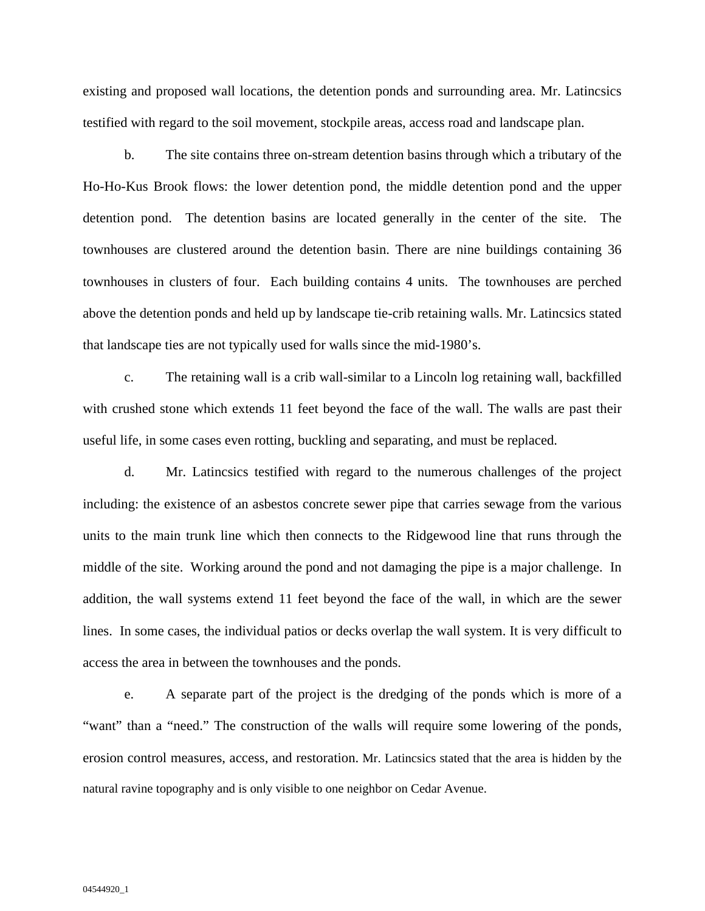existing and proposed wall locations, the detention ponds and surrounding area. Mr. Latincsics testified with regard to the soil movement, stockpile areas, access road and landscape plan.

b. The site contains three on-stream detention basins through which a tributary of the Ho-Ho-Kus Brook flows: the lower detention pond, the middle detention pond and the upper detention pond. The detention basins are located generally in the center of the site. The townhouses are clustered around the detention basin. There are nine buildings containing 36 townhouses in clusters of four. Each building contains 4 units. The townhouses are perched above the detention ponds and held up by landscape tie-crib retaining walls. Mr. Latincsics stated that landscape ties are not typically used for walls since the mid-1980's.

c. The retaining wall is a crib wall-similar to a Lincoln log retaining wall, backfilled with crushed stone which extends 11 feet beyond the face of the wall. The walls are past their useful life, in some cases even rotting, buckling and separating, and must be replaced.

d. Mr. Latincsics testified with regard to the numerous challenges of the project including: the existence of an asbestos concrete sewer pipe that carries sewage from the various units to the main trunk line which then connects to the Ridgewood line that runs through the middle of the site. Working around the pond and not damaging the pipe is a major challenge. In addition, the wall systems extend 11 feet beyond the face of the wall, in which are the sewer lines. In some cases, the individual patios or decks overlap the wall system. It is very difficult to access the area in between the townhouses and the ponds.

e. A separate part of the project is the dredging of the ponds which is more of a "want" than a "need." The construction of the walls will require some lowering of the ponds, erosion control measures, access, and restoration. Mr. Latincsics stated that the area is hidden by the natural ravine topography and is only visible to one neighbor on Cedar Avenue.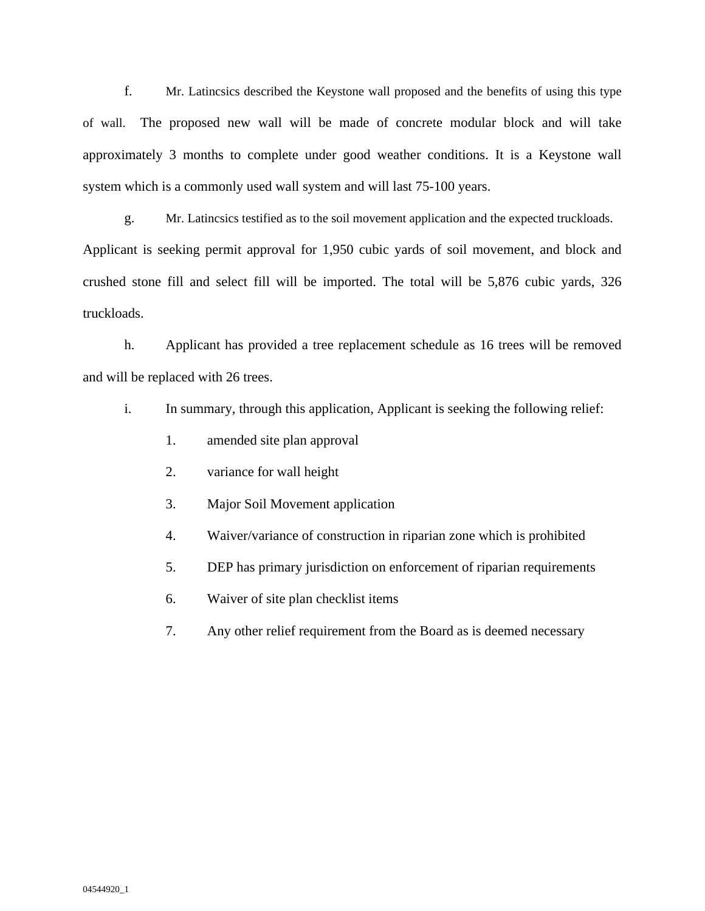f. Mr. Latincsics described the Keystone wall proposed and the benefits of using this type of wall. The proposed new wall will be made of concrete modular block and will take approximately 3 months to complete under good weather conditions. It is a Keystone wall system which is a commonly used wall system and will last 75-100 years.

g. Mr. Latincsics testified as to the soil movement application and the expected truckloads. Applicant is seeking permit approval for 1,950 cubic yards of soil movement, and block and crushed stone fill and select fill will be imported. The total will be 5,876 cubic yards, 326 truckloads.

h. Applicant has provided a tree replacement schedule as 16 trees will be removed and will be replaced with 26 trees.

i. In summary, through this application, Applicant is seeking the following relief:

- 1. amended site plan approval
- 2. variance for wall height
- 3. Major Soil Movement application
- 4. Waiver/variance of construction in riparian zone which is prohibited
- 5. DEP has primary jurisdiction on enforcement of riparian requirements
- 6. Waiver of site plan checklist items
- 7. Any other relief requirement from the Board as is deemed necessary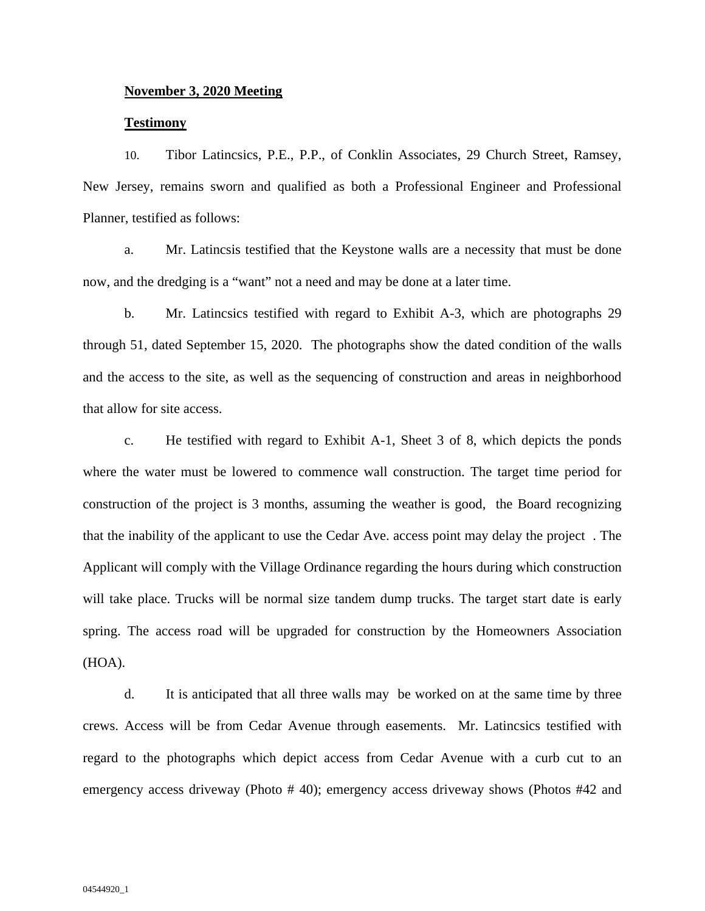# **November 3, 2020 Meeting**

### **Testimony**

10. Tibor Latincsics, P.E., P.P., of Conklin Associates, 29 Church Street, Ramsey, New Jersey, remains sworn and qualified as both a Professional Engineer and Professional Planner, testified as follows:

a. Mr. Latincsis testified that the Keystone walls are a necessity that must be done now, and the dredging is a "want" not a need and may be done at a later time.

b. Mr. Latincsics testified with regard to Exhibit A-3, which are photographs 29 through 51, dated September 15, 2020. The photographs show the dated condition of the walls and the access to the site, as well as the sequencing of construction and areas in neighborhood that allow for site access.

c. He testified with regard to Exhibit A-1, Sheet 3 of 8, which depicts the ponds where the water must be lowered to commence wall construction. The target time period for construction of the project is 3 months, assuming the weather is good, the Board recognizing that the inability of the applicant to use the Cedar Ave. access point may delay the project . The Applicant will comply with the Village Ordinance regarding the hours during which construction will take place. Trucks will be normal size tandem dump trucks. The target start date is early spring. The access road will be upgraded for construction by the Homeowners Association (HOA).

d. It is anticipated that all three walls may be worked on at the same time by three crews. Access will be from Cedar Avenue through easements. Mr. Latincsics testified with regard to the photographs which depict access from Cedar Avenue with a curb cut to an emergency access driveway (Photo # 40); emergency access driveway shows (Photos #42 and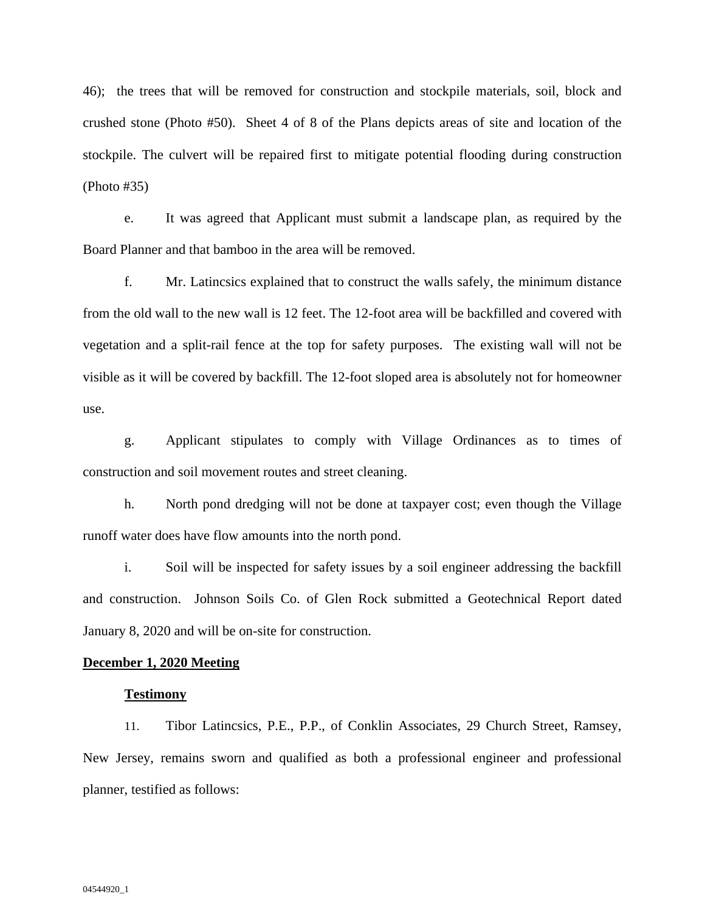46); the trees that will be removed for construction and stockpile materials, soil, block and crushed stone (Photo #50). Sheet 4 of 8 of the Plans depicts areas of site and location of the stockpile. The culvert will be repaired first to mitigate potential flooding during construction (Photo #35)

e. It was agreed that Applicant must submit a landscape plan, as required by the Board Planner and that bamboo in the area will be removed.

f. Mr. Latincsics explained that to construct the walls safely, the minimum distance from the old wall to the new wall is 12 feet. The 12-foot area will be backfilled and covered with vegetation and a split-rail fence at the top for safety purposes. The existing wall will not be visible as it will be covered by backfill. The 12-foot sloped area is absolutely not for homeowner use.

g. Applicant stipulates to comply with Village Ordinances as to times of construction and soil movement routes and street cleaning.

h. North pond dredging will not be done at taxpayer cost; even though the Village runoff water does have flow amounts into the north pond.

i. Soil will be inspected for safety issues by a soil engineer addressing the backfill and construction. Johnson Soils Co. of Glen Rock submitted a Geotechnical Report dated January 8, 2020 and will be on-site for construction.

#### **December 1, 2020 Meeting**

#### **Testimony**

11. Tibor Latincsics, P.E., P.P., of Conklin Associates, 29 Church Street, Ramsey, New Jersey, remains sworn and qualified as both a professional engineer and professional planner, testified as follows: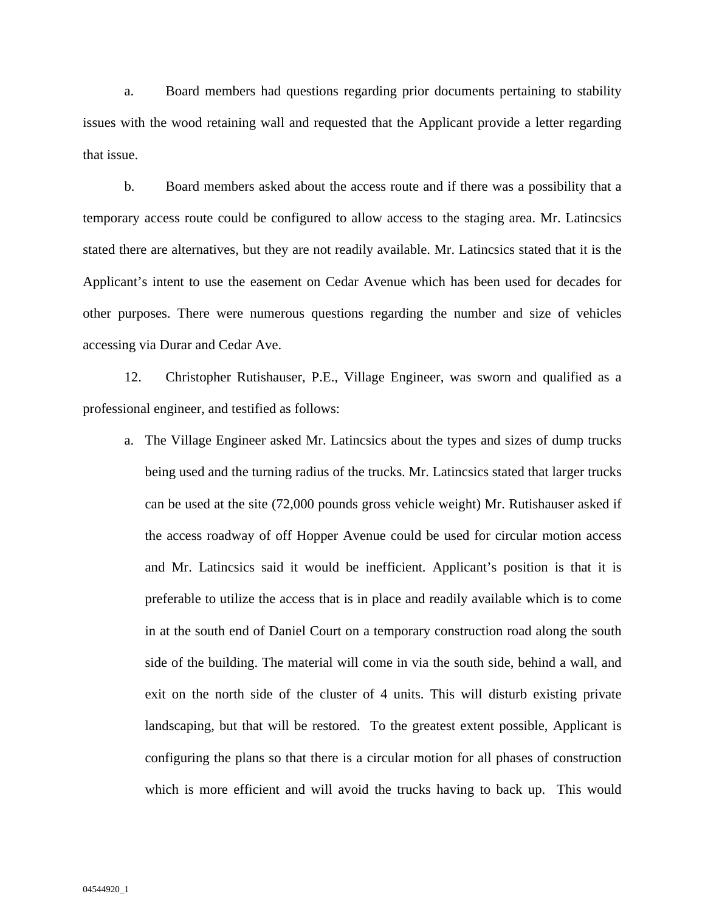a. Board members had questions regarding prior documents pertaining to stability issues with the wood retaining wall and requested that the Applicant provide a letter regarding that issue.

b. Board members asked about the access route and if there was a possibility that a temporary access route could be configured to allow access to the staging area. Mr. Latincsics stated there are alternatives, but they are not readily available. Mr. Latincsics stated that it is the Applicant's intent to use the easement on Cedar Avenue which has been used for decades for other purposes. There were numerous questions regarding the number and size of vehicles accessing via Durar and Cedar Ave.

12. Christopher Rutishauser, P.E., Village Engineer, was sworn and qualified as a professional engineer, and testified as follows:

a. The Village Engineer asked Mr. Latincsics about the types and sizes of dump trucks being used and the turning radius of the trucks. Mr. Latincsics stated that larger trucks can be used at the site (72,000 pounds gross vehicle weight) Mr. Rutishauser asked if the access roadway of off Hopper Avenue could be used for circular motion access and Mr. Latincsics said it would be inefficient. Applicant's position is that it is preferable to utilize the access that is in place and readily available which is to come in at the south end of Daniel Court on a temporary construction road along the south side of the building. The material will come in via the south side, behind a wall, and exit on the north side of the cluster of 4 units. This will disturb existing private landscaping, but that will be restored. To the greatest extent possible, Applicant is configuring the plans so that there is a circular motion for all phases of construction which is more efficient and will avoid the trucks having to back up. This would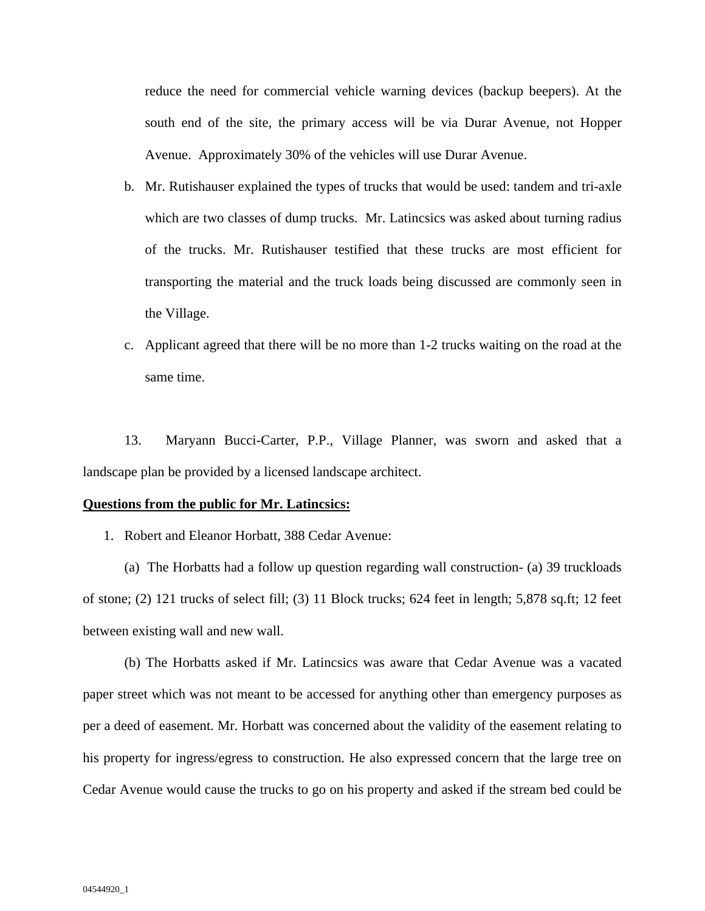reduce the need for commercial vehicle warning devices (backup beepers). At the south end of the site, the primary access will be via Durar Avenue, not Hopper Avenue. Approximately 30% of the vehicles will use Durar Avenue.

- b. Mr. Rutishauser explained the types of trucks that would be used: tandem and tri-axle which are two classes of dump trucks. Mr. Latincsics was asked about turning radius of the trucks. Mr. Rutishauser testified that these trucks are most efficient for transporting the material and the truck loads being discussed are commonly seen in the Village.
- c. Applicant agreed that there will be no more than 1-2 trucks waiting on the road at the same time.

13. Maryann Bucci-Carter, P.P., Village Planner, was sworn and asked that a landscape plan be provided by a licensed landscape architect.

#### **Questions from the public for Mr. Latincsics:**

1. Robert and Eleanor Horbatt, 388 Cedar Avenue:

(a) The Horbatts had a follow up question regarding wall construction- (a) 39 truckloads of stone; (2) 121 trucks of select fill; (3) 11 Block trucks; 624 feet in length; 5,878 sq.ft; 12 feet between existing wall and new wall.

(b) The Horbatts asked if Mr. Latincsics was aware that Cedar Avenue was a vacated paper street which was not meant to be accessed for anything other than emergency purposes as per a deed of easement. Mr. Horbatt was concerned about the validity of the easement relating to his property for ingress/egress to construction. He also expressed concern that the large tree on Cedar Avenue would cause the trucks to go on his property and asked if the stream bed could be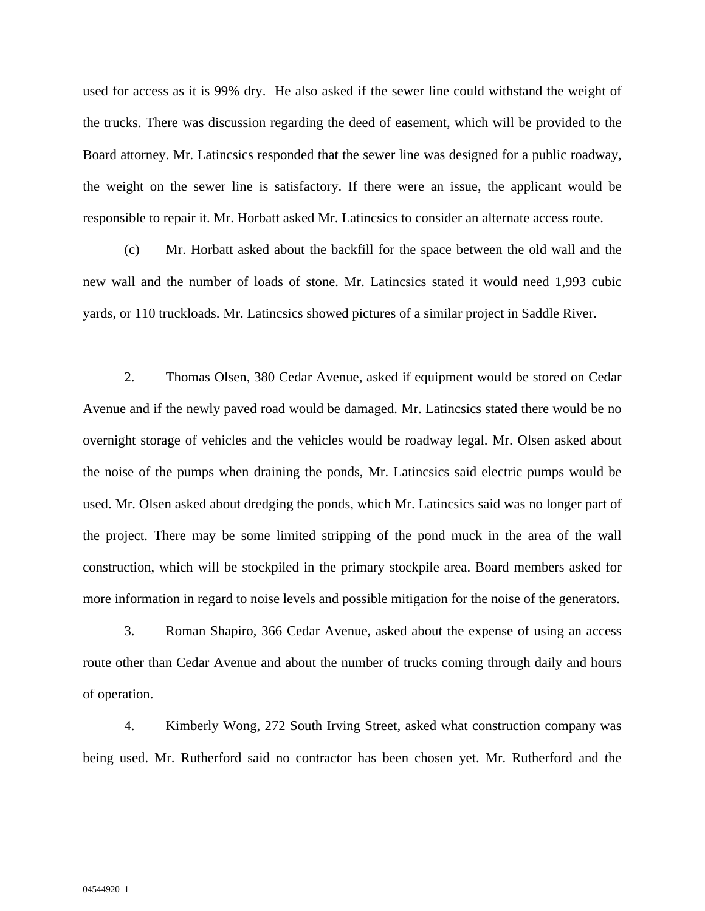used for access as it is 99% dry. He also asked if the sewer line could withstand the weight of the trucks. There was discussion regarding the deed of easement, which will be provided to the Board attorney. Mr. Latincsics responded that the sewer line was designed for a public roadway, the weight on the sewer line is satisfactory. If there were an issue, the applicant would be responsible to repair it. Mr. Horbatt asked Mr. Latincsics to consider an alternate access route.

(c) Mr. Horbatt asked about the backfill for the space between the old wall and the new wall and the number of loads of stone. Mr. Latincsics stated it would need 1,993 cubic yards, or 110 truckloads. Mr. Latincsics showed pictures of a similar project in Saddle River.

2. Thomas Olsen, 380 Cedar Avenue, asked if equipment would be stored on Cedar Avenue and if the newly paved road would be damaged. Mr. Latincsics stated there would be no overnight storage of vehicles and the vehicles would be roadway legal. Mr. Olsen asked about the noise of the pumps when draining the ponds, Mr. Latincsics said electric pumps would be used. Mr. Olsen asked about dredging the ponds, which Mr. Latincsics said was no longer part of the project. There may be some limited stripping of the pond muck in the area of the wall construction, which will be stockpiled in the primary stockpile area. Board members asked for more information in regard to noise levels and possible mitigation for the noise of the generators.

3. Roman Shapiro, 366 Cedar Avenue, asked about the expense of using an access route other than Cedar Avenue and about the number of trucks coming through daily and hours of operation.

4. Kimberly Wong, 272 South Irving Street, asked what construction company was being used. Mr. Rutherford said no contractor has been chosen yet. Mr. Rutherford and the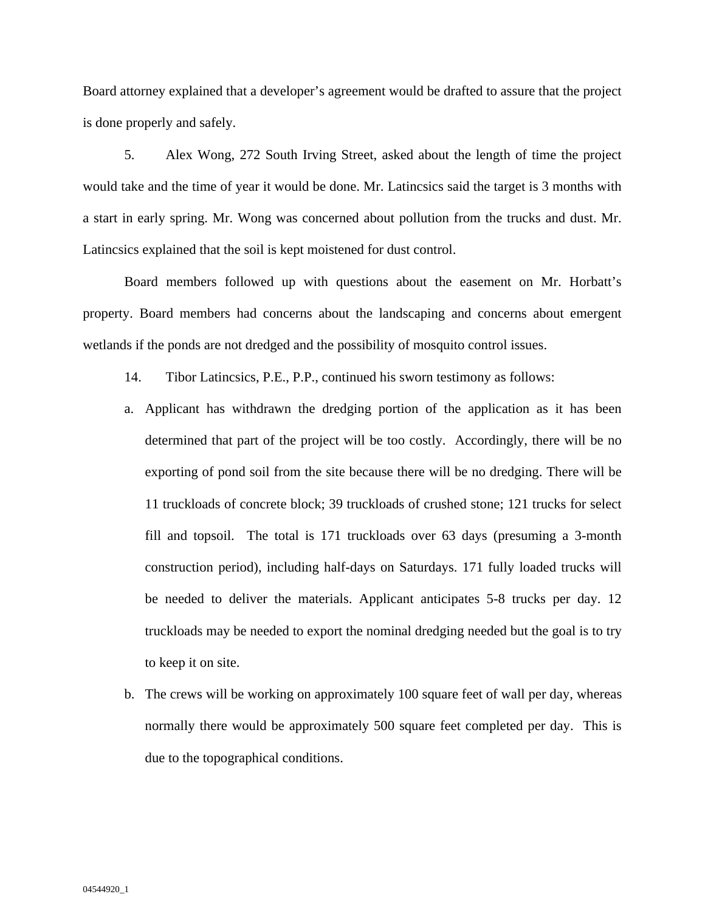Board attorney explained that a developer's agreement would be drafted to assure that the project is done properly and safely.

5. Alex Wong, 272 South Irving Street, asked about the length of time the project would take and the time of year it would be done. Mr. Latincsics said the target is 3 months with a start in early spring. Mr. Wong was concerned about pollution from the trucks and dust. Mr. Latincsics explained that the soil is kept moistened for dust control.

Board members followed up with questions about the easement on Mr. Horbatt's property. Board members had concerns about the landscaping and concerns about emergent wetlands if the ponds are not dredged and the possibility of mosquito control issues.

- 14. Tibor Latincsics, P.E., P.P., continued his sworn testimony as follows:
- a. Applicant has withdrawn the dredging portion of the application as it has been determined that part of the project will be too costly. Accordingly, there will be no exporting of pond soil from the site because there will be no dredging. There will be 11 truckloads of concrete block; 39 truckloads of crushed stone; 121 trucks for select fill and topsoil. The total is 171 truckloads over 63 days (presuming a 3-month construction period), including half-days on Saturdays. 171 fully loaded trucks will be needed to deliver the materials. Applicant anticipates 5-8 trucks per day. 12 truckloads may be needed to export the nominal dredging needed but the goal is to try to keep it on site.
- b. The crews will be working on approximately 100 square feet of wall per day, whereas normally there would be approximately 500 square feet completed per day. This is due to the topographical conditions.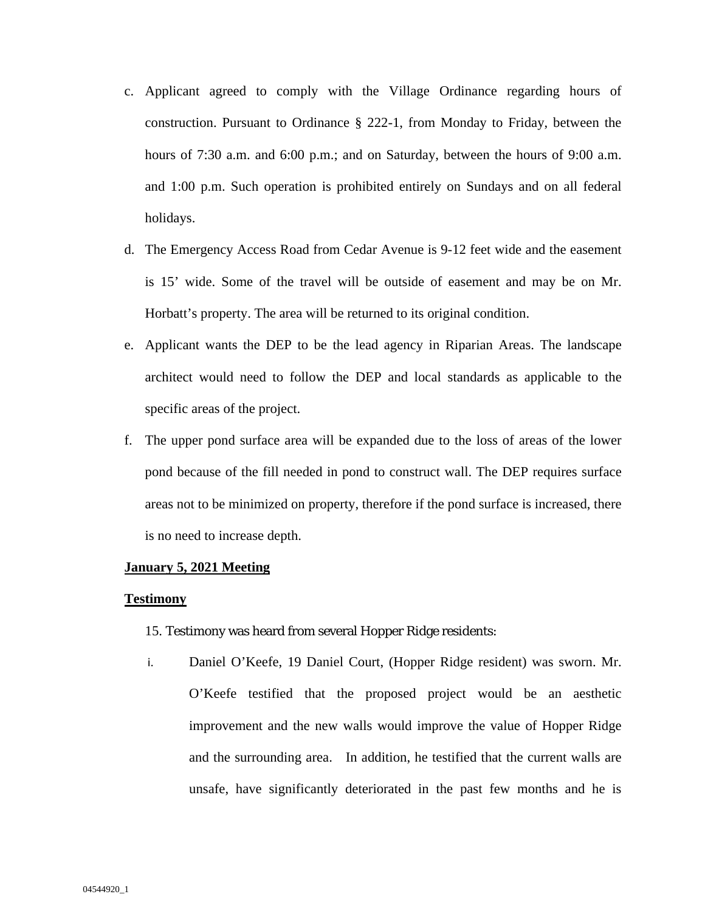- c. Applicant agreed to comply with the Village Ordinance regarding hours of construction. Pursuant to Ordinance § 222-1, from Monday to Friday, between the hours of 7:30 a.m. and 6:00 p.m.; and on Saturday, between the hours of 9:00 a.m. and 1:00 p.m. Such operation is prohibited entirely on Sundays and on all federal holidays.
- d. The Emergency Access Road from Cedar Avenue is 9-12 feet wide and the easement is 15' wide. Some of the travel will be outside of easement and may be on Mr. Horbatt's property. The area will be returned to its original condition.
- e. Applicant wants the DEP to be the lead agency in Riparian Areas. The landscape architect would need to follow the DEP and local standards as applicable to the specific areas of the project.
- f. The upper pond surface area will be expanded due to the loss of areas of the lower pond because of the fill needed in pond to construct wall. The DEP requires surface areas not to be minimized on property, therefore if the pond surface is increased, there is no need to increase depth.

### **January 5, 2021 Meeting**

### **Testimony**

### 15. Testimony was heard from several Hopper Ridge residents:

i. Daniel O'Keefe, 19 Daniel Court, (Hopper Ridge resident) was sworn. Mr. O'Keefe testified that the proposed project would be an aesthetic improvement and the new walls would improve the value of Hopper Ridge and the surrounding area. In addition, he testified that the current walls are unsafe, have significantly deteriorated in the past few months and he is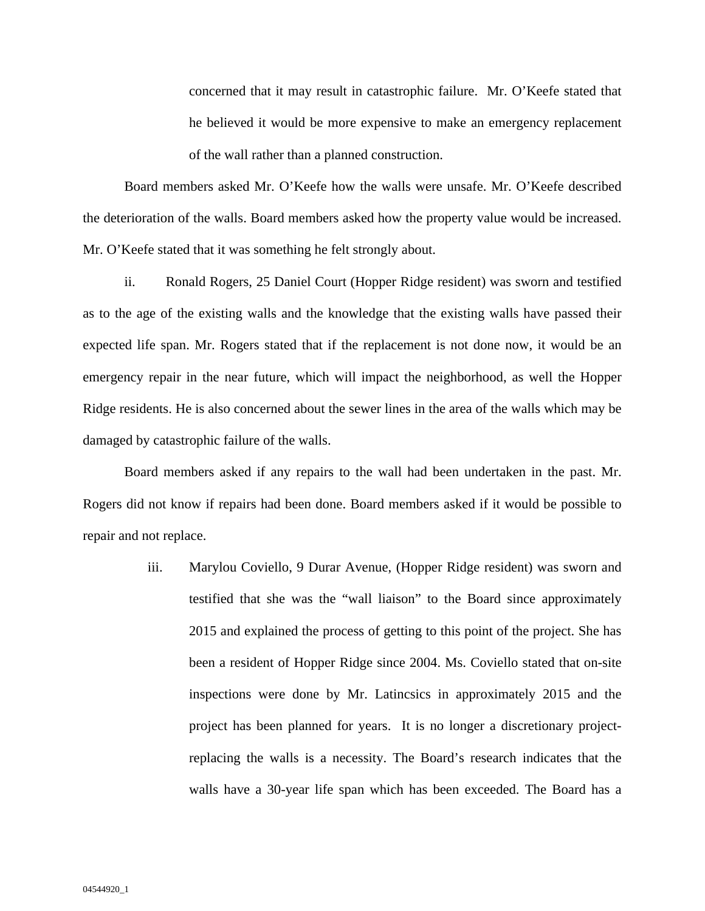concerned that it may result in catastrophic failure. Mr. O'Keefe stated that he believed it would be more expensive to make an emergency replacement of the wall rather than a planned construction.

Board members asked Mr. O'Keefe how the walls were unsafe. Mr. O'Keefe described the deterioration of the walls. Board members asked how the property value would be increased. Mr. O'Keefe stated that it was something he felt strongly about.

ii. Ronald Rogers, 25 Daniel Court (Hopper Ridge resident) was sworn and testified as to the age of the existing walls and the knowledge that the existing walls have passed their expected life span. Mr. Rogers stated that if the replacement is not done now, it would be an emergency repair in the near future, which will impact the neighborhood, as well the Hopper Ridge residents. He is also concerned about the sewer lines in the area of the walls which may be damaged by catastrophic failure of the walls.

Board members asked if any repairs to the wall had been undertaken in the past. Mr. Rogers did not know if repairs had been done. Board members asked if it would be possible to repair and not replace.

> iii. Marylou Coviello, 9 Durar Avenue, (Hopper Ridge resident) was sworn and testified that she was the "wall liaison" to the Board since approximately 2015 and explained the process of getting to this point of the project. She has been a resident of Hopper Ridge since 2004. Ms. Coviello stated that on-site inspections were done by Mr. Latincsics in approximately 2015 and the project has been planned for years. It is no longer a discretionary projectreplacing the walls is a necessity. The Board's research indicates that the walls have a 30-year life span which has been exceeded. The Board has a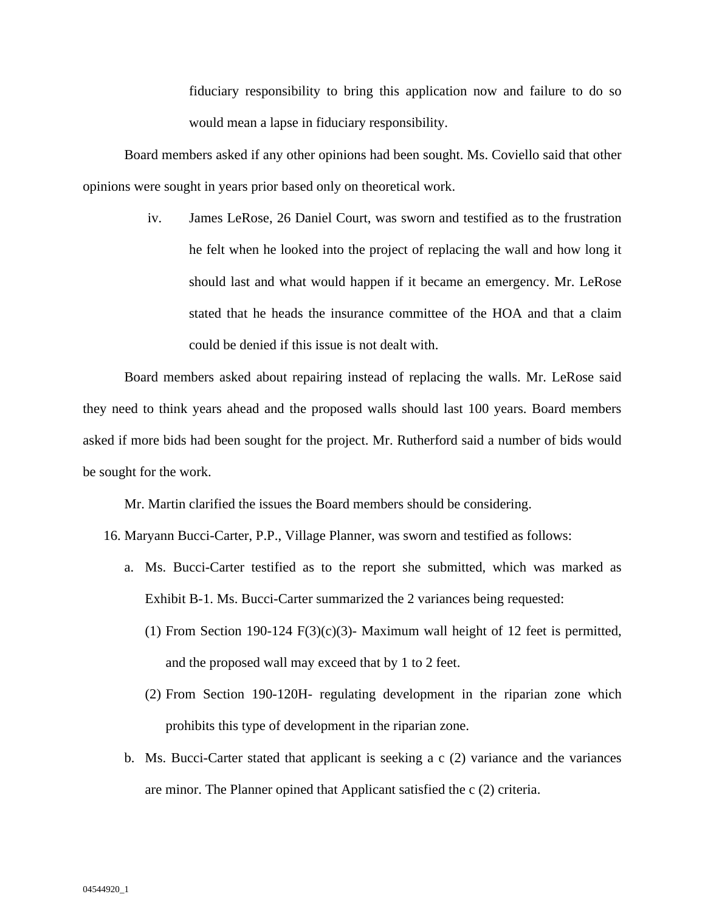fiduciary responsibility to bring this application now and failure to do so would mean a lapse in fiduciary responsibility.

Board members asked if any other opinions had been sought. Ms. Coviello said that other opinions were sought in years prior based only on theoretical work.

> iv. James LeRose, 26 Daniel Court, was sworn and testified as to the frustration he felt when he looked into the project of replacing the wall and how long it should last and what would happen if it became an emergency. Mr. LeRose stated that he heads the insurance committee of the HOA and that a claim could be denied if this issue is not dealt with.

Board members asked about repairing instead of replacing the walls. Mr. LeRose said they need to think years ahead and the proposed walls should last 100 years. Board members asked if more bids had been sought for the project. Mr. Rutherford said a number of bids would be sought for the work.

Mr. Martin clarified the issues the Board members should be considering.

16. Maryann Bucci-Carter, P.P., Village Planner, was sworn and testified as follows:

- a. Ms. Bucci-Carter testified as to the report she submitted, which was marked as Exhibit B-1. Ms. Bucci-Carter summarized the 2 variances being requested:
	- (1) From Section 190-124 F(3)(c)(3)- Maximum wall height of 12 feet is permitted, and the proposed wall may exceed that by 1 to 2 feet.
	- (2) From Section 190-120H- regulating development in the riparian zone which prohibits this type of development in the riparian zone.
- b. Ms. Bucci-Carter stated that applicant is seeking a c (2) variance and the variances are minor. The Planner opined that Applicant satisfied the c (2) criteria.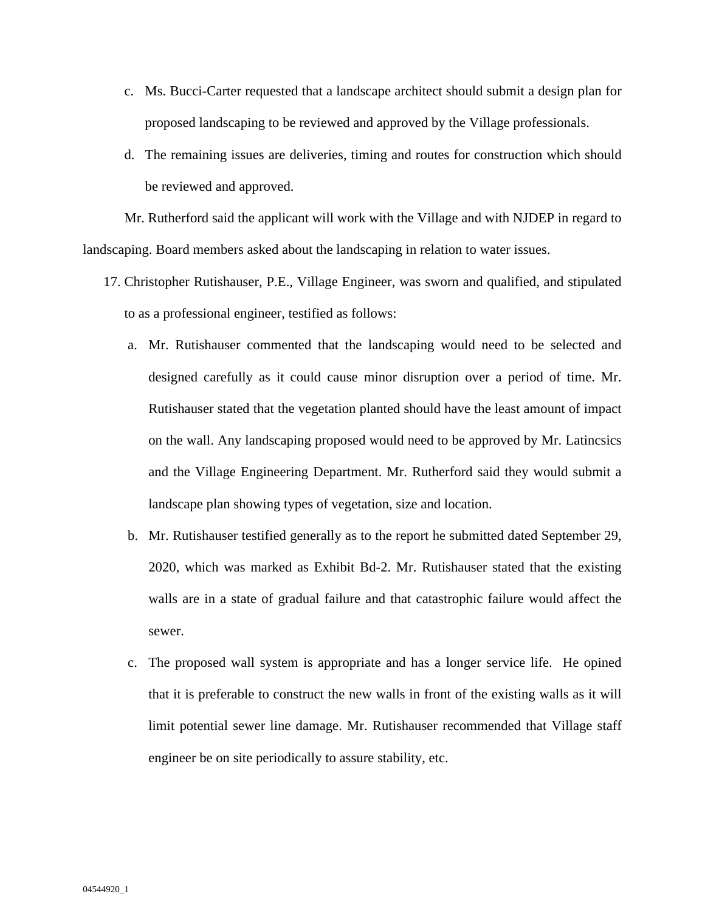- c. Ms. Bucci-Carter requested that a landscape architect should submit a design plan for proposed landscaping to be reviewed and approved by the Village professionals.
- d. The remaining issues are deliveries, timing and routes for construction which should be reviewed and approved.

Mr. Rutherford said the applicant will work with the Village and with NJDEP in regard to landscaping. Board members asked about the landscaping in relation to water issues.

- 17. Christopher Rutishauser, P.E., Village Engineer, was sworn and qualified, and stipulated to as a professional engineer, testified as follows:
	- a. Mr. Rutishauser commented that the landscaping would need to be selected and designed carefully as it could cause minor disruption over a period of time. Mr. Rutishauser stated that the vegetation planted should have the least amount of impact on the wall. Any landscaping proposed would need to be approved by Mr. Latincsics and the Village Engineering Department. Mr. Rutherford said they would submit a landscape plan showing types of vegetation, size and location.
	- b. Mr. Rutishauser testified generally as to the report he submitted dated September 29, 2020, which was marked as Exhibit Bd-2. Mr. Rutishauser stated that the existing walls are in a state of gradual failure and that catastrophic failure would affect the sewer.
	- c. The proposed wall system is appropriate and has a longer service life. He opined that it is preferable to construct the new walls in front of the existing walls as it will limit potential sewer line damage. Mr. Rutishauser recommended that Village staff engineer be on site periodically to assure stability, etc.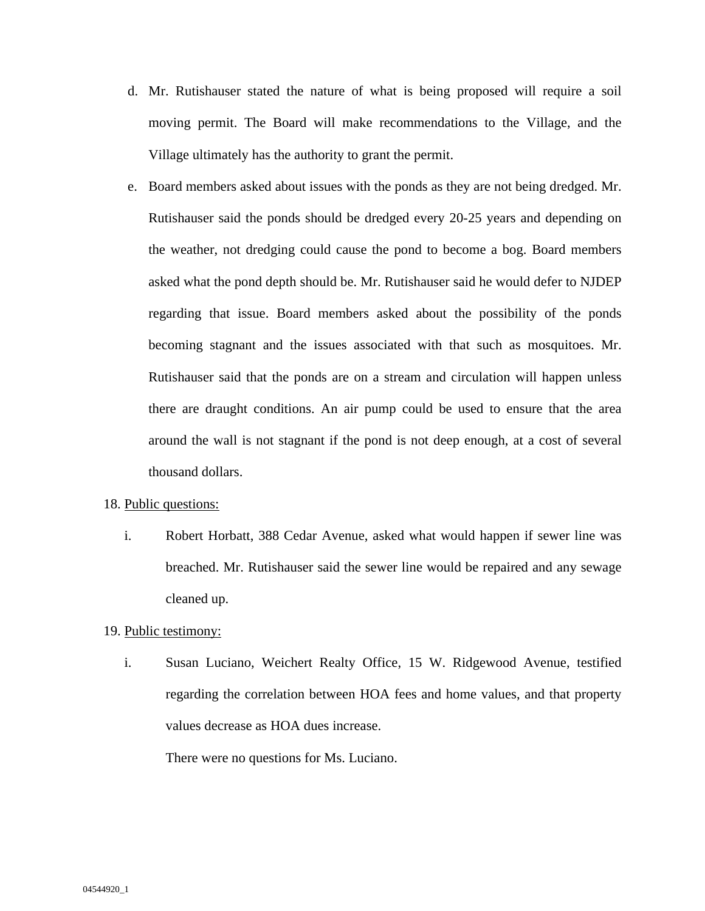- d. Mr. Rutishauser stated the nature of what is being proposed will require a soil moving permit. The Board will make recommendations to the Village, and the Village ultimately has the authority to grant the permit.
- e. Board members asked about issues with the ponds as they are not being dredged. Mr. Rutishauser said the ponds should be dredged every 20-25 years and depending on the weather, not dredging could cause the pond to become a bog. Board members asked what the pond depth should be. Mr. Rutishauser said he would defer to NJDEP regarding that issue. Board members asked about the possibility of the ponds becoming stagnant and the issues associated with that such as mosquitoes. Mr. Rutishauser said that the ponds are on a stream and circulation will happen unless there are draught conditions. An air pump could be used to ensure that the area around the wall is not stagnant if the pond is not deep enough, at a cost of several thousand dollars.

### 18. Public questions:

i. Robert Horbatt, 388 Cedar Avenue, asked what would happen if sewer line was breached. Mr. Rutishauser said the sewer line would be repaired and any sewage cleaned up.

## 19. Public testimony:

i. Susan Luciano, Weichert Realty Office, 15 W. Ridgewood Avenue, testified regarding the correlation between HOA fees and home values, and that property values decrease as HOA dues increase.

There were no questions for Ms. Luciano.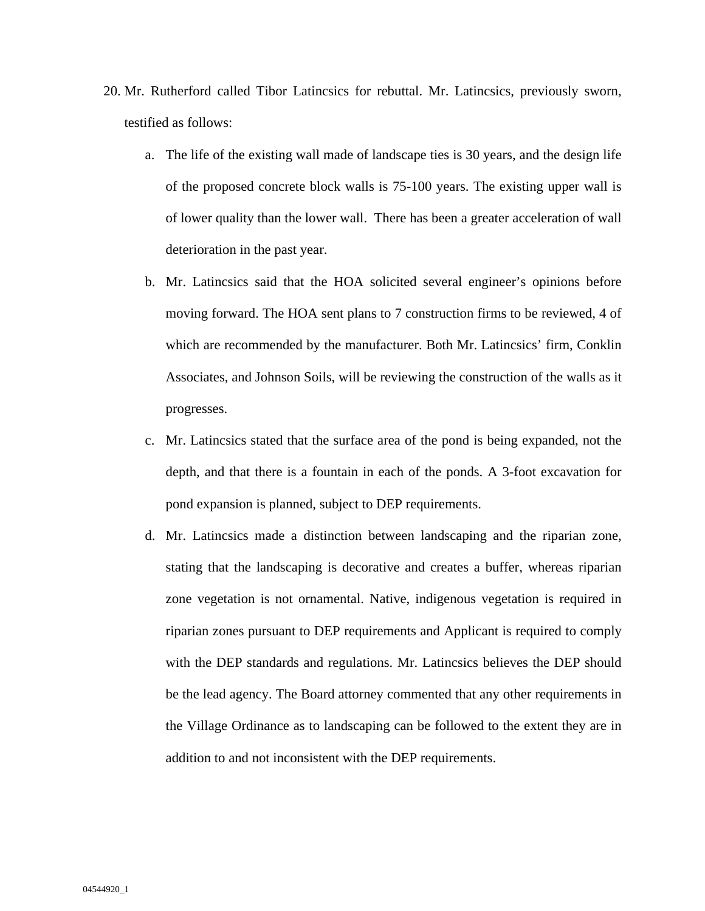- 20. Mr. Rutherford called Tibor Latincsics for rebuttal. Mr. Latincsics, previously sworn, testified as follows:
	- a. The life of the existing wall made of landscape ties is 30 years, and the design life of the proposed concrete block walls is 75-100 years. The existing upper wall is of lower quality than the lower wall. There has been a greater acceleration of wall deterioration in the past year.
	- b. Mr. Latincsics said that the HOA solicited several engineer's opinions before moving forward. The HOA sent plans to 7 construction firms to be reviewed, 4 of which are recommended by the manufacturer. Both Mr. Latincsics' firm, Conklin Associates, and Johnson Soils, will be reviewing the construction of the walls as it progresses.
	- c. Mr. Latincsics stated that the surface area of the pond is being expanded, not the depth, and that there is a fountain in each of the ponds. A 3-foot excavation for pond expansion is planned, subject to DEP requirements.
	- d. Mr. Latincsics made a distinction between landscaping and the riparian zone, stating that the landscaping is decorative and creates a buffer, whereas riparian zone vegetation is not ornamental. Native, indigenous vegetation is required in riparian zones pursuant to DEP requirements and Applicant is required to comply with the DEP standards and regulations. Mr. Latincsics believes the DEP should be the lead agency. The Board attorney commented that any other requirements in the Village Ordinance as to landscaping can be followed to the extent they are in addition to and not inconsistent with the DEP requirements.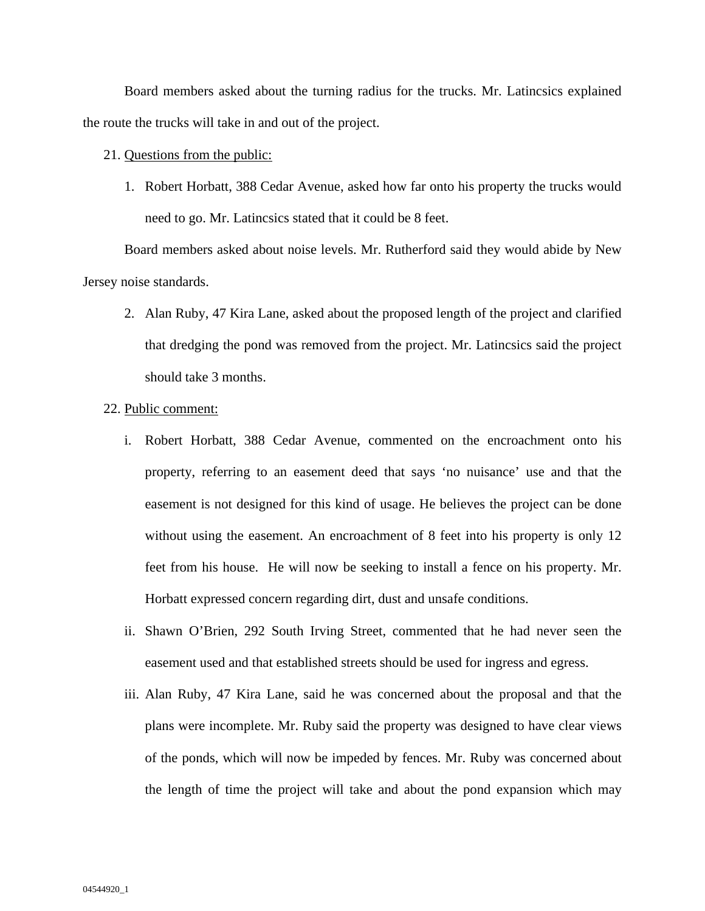Board members asked about the turning radius for the trucks. Mr. Latincsics explained the route the trucks will take in and out of the project.

# 21. Questions from the public:

1. Robert Horbatt, 388 Cedar Avenue, asked how far onto his property the trucks would need to go. Mr. Latincsics stated that it could be 8 feet.

Board members asked about noise levels. Mr. Rutherford said they would abide by New Jersey noise standards.

2. Alan Ruby, 47 Kira Lane, asked about the proposed length of the project and clarified that dredging the pond was removed from the project. Mr. Latincsics said the project should take 3 months.

#### 22. Public comment:

- i. Robert Horbatt, 388 Cedar Avenue, commented on the encroachment onto his property, referring to an easement deed that says 'no nuisance' use and that the easement is not designed for this kind of usage. He believes the project can be done without using the easement. An encroachment of 8 feet into his property is only 12 feet from his house. He will now be seeking to install a fence on his property. Mr. Horbatt expressed concern regarding dirt, dust and unsafe conditions.
- ii. Shawn O'Brien, 292 South Irving Street, commented that he had never seen the easement used and that established streets should be used for ingress and egress.
- iii. Alan Ruby, 47 Kira Lane, said he was concerned about the proposal and that the plans were incomplete. Mr. Ruby said the property was designed to have clear views of the ponds, which will now be impeded by fences. Mr. Ruby was concerned about the length of time the project will take and about the pond expansion which may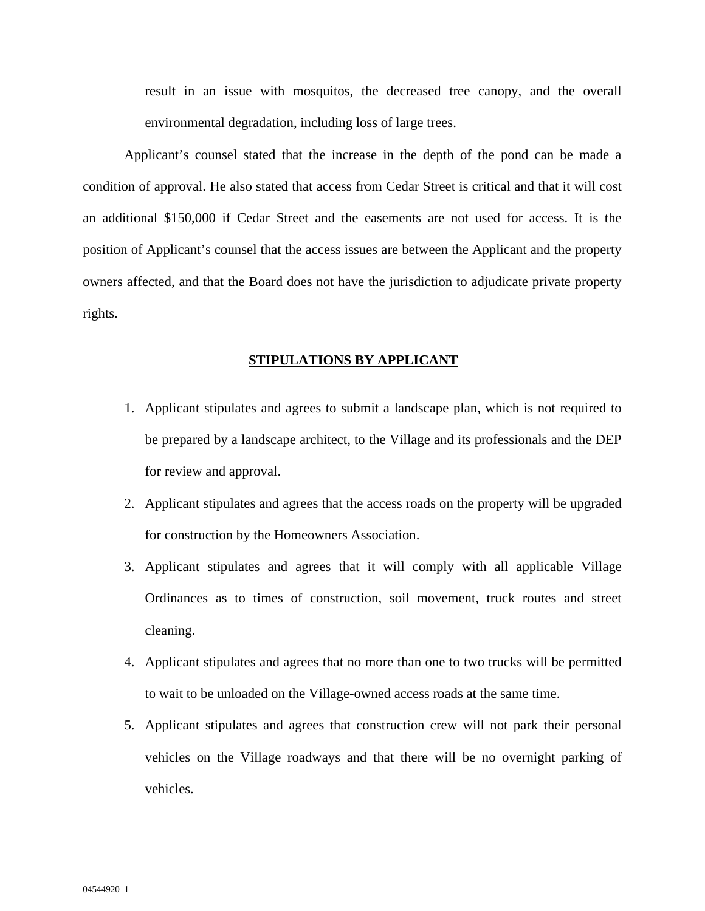result in an issue with mosquitos, the decreased tree canopy, and the overall environmental degradation, including loss of large trees.

Applicant's counsel stated that the increase in the depth of the pond can be made a condition of approval. He also stated that access from Cedar Street is critical and that it will cost an additional \$150,000 if Cedar Street and the easements are not used for access. It is the position of Applicant's counsel that the access issues are between the Applicant and the property owners affected, and that the Board does not have the jurisdiction to adjudicate private property rights.

# **STIPULATIONS BY APPLICANT**

- 1. Applicant stipulates and agrees to submit a landscape plan, which is not required to be prepared by a landscape architect, to the Village and its professionals and the DEP for review and approval.
- 2. Applicant stipulates and agrees that the access roads on the property will be upgraded for construction by the Homeowners Association.
- 3. Applicant stipulates and agrees that it will comply with all applicable Village Ordinances as to times of construction, soil movement, truck routes and street cleaning.
- 4. Applicant stipulates and agrees that no more than one to two trucks will be permitted to wait to be unloaded on the Village-owned access roads at the same time.
- 5. Applicant stipulates and agrees that construction crew will not park their personal vehicles on the Village roadways and that there will be no overnight parking of vehicles.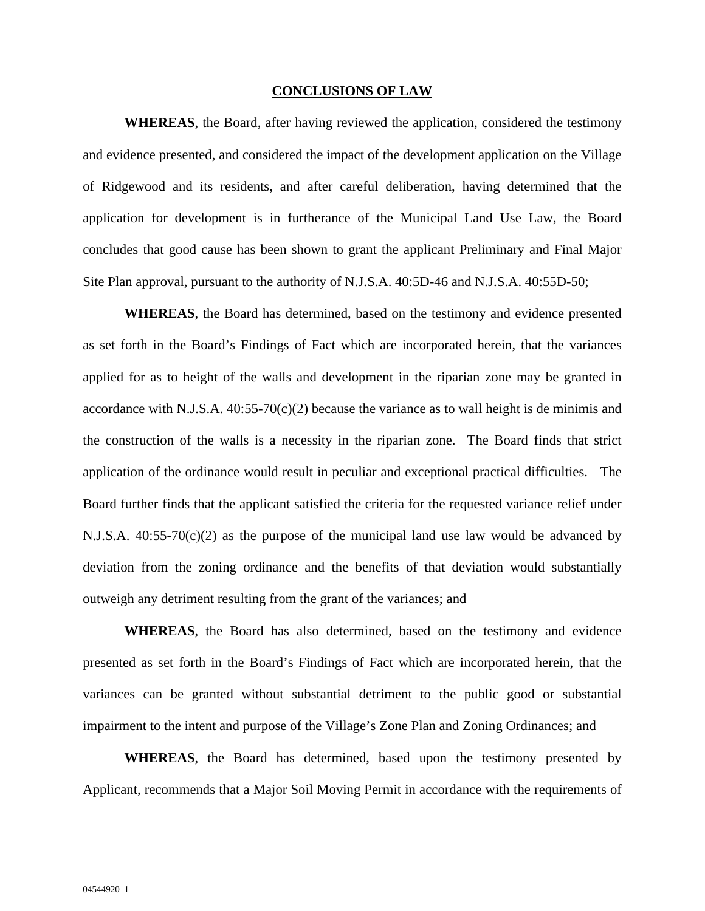#### **CONCLUSIONS OF LAW**

**WHEREAS**, the Board, after having reviewed the application, considered the testimony and evidence presented, and considered the impact of the development application on the Village of Ridgewood and its residents, and after careful deliberation, having determined that the application for development is in furtherance of the Municipal Land Use Law, the Board concludes that good cause has been shown to grant the applicant Preliminary and Final Major Site Plan approval, pursuant to the authority of N.J.S.A. 40:5D-46 and N.J.S.A. 40:55D-50;

**WHEREAS**, the Board has determined, based on the testimony and evidence presented as set forth in the Board's Findings of Fact which are incorporated herein, that the variances applied for as to height of the walls and development in the riparian zone may be granted in accordance with N.J.S.A.  $40:55-70(c)(2)$  because the variance as to wall height is de minimis and the construction of the walls is a necessity in the riparian zone. The Board finds that strict application of the ordinance would result in peculiar and exceptional practical difficulties. The Board further finds that the applicant satisfied the criteria for the requested variance relief under N.J.S.A.  $40:55-70(c)(2)$  as the purpose of the municipal land use law would be advanced by deviation from the zoning ordinance and the benefits of that deviation would substantially outweigh any detriment resulting from the grant of the variances; and

**WHEREAS**, the Board has also determined, based on the testimony and evidence presented as set forth in the Board's Findings of Fact which are incorporated herein, that the variances can be granted without substantial detriment to the public good or substantial impairment to the intent and purpose of the Village's Zone Plan and Zoning Ordinances; and

**WHEREAS**, the Board has determined, based upon the testimony presented by Applicant, recommends that a Major Soil Moving Permit in accordance with the requirements of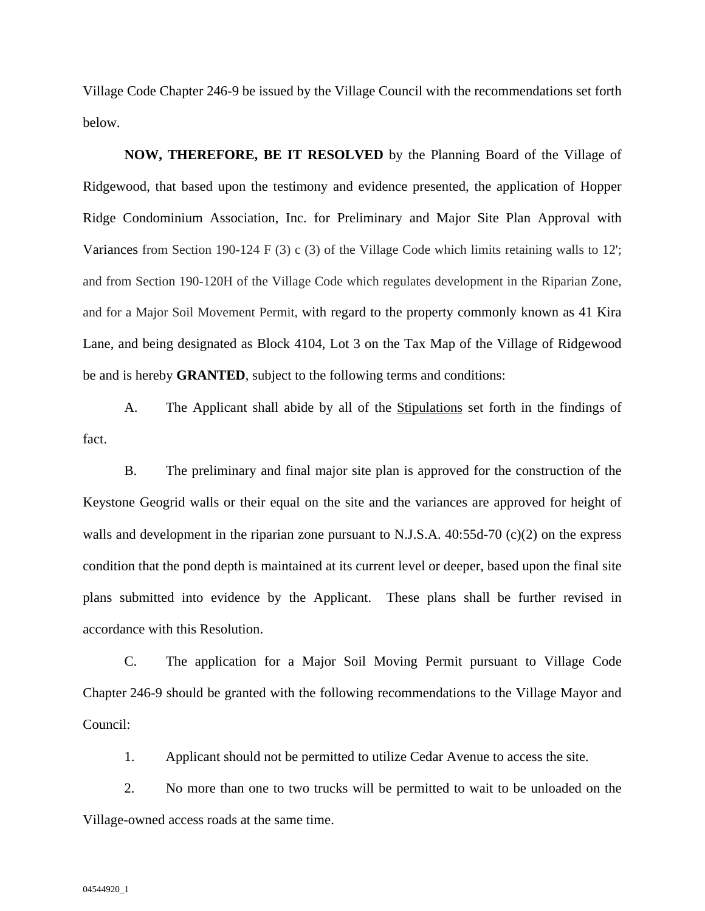Village Code Chapter 246-9 be issued by the Village Council with the recommendations set forth below.

**NOW, THEREFORE, BE IT RESOLVED** by the Planning Board of the Village of Ridgewood, that based upon the testimony and evidence presented, the application of Hopper Ridge Condominium Association, Inc. for Preliminary and Major Site Plan Approval with Variances from Section 190-124 F (3) c (3) of the Village Code which limits retaining walls to 12'; and from Section 190-120H of the Village Code which regulates development in the Riparian Zone, and for a Major Soil Movement Permit, with regard to the property commonly known as 41 Kira Lane, and being designated as Block 4104, Lot 3 on the Tax Map of the Village of Ridgewood be and is hereby **GRANTED**, subject to the following terms and conditions:

A. The Applicant shall abide by all of the Stipulations set forth in the findings of fact.

B. The preliminary and final major site plan is approved for the construction of the Keystone Geogrid walls or their equal on the site and the variances are approved for height of walls and development in the riparian zone pursuant to N.J.S.A. 40:55d-70 (c)(2) on the express condition that the pond depth is maintained at its current level or deeper, based upon the final site plans submitted into evidence by the Applicant. These plans shall be further revised in accordance with this Resolution.

C. The application for a Major Soil Moving Permit pursuant to Village Code Chapter 246-9 should be granted with the following recommendations to the Village Mayor and Council:

1. Applicant should not be permitted to utilize Cedar Avenue to access the site.

2. No more than one to two trucks will be permitted to wait to be unloaded on the Village-owned access roads at the same time.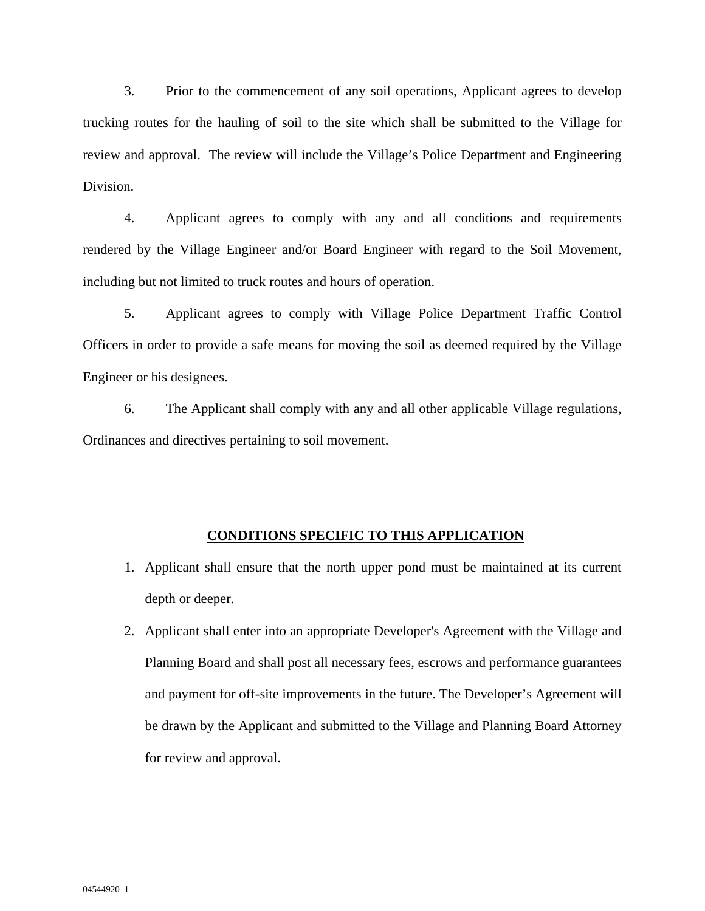3. Prior to the commencement of any soil operations, Applicant agrees to develop trucking routes for the hauling of soil to the site which shall be submitted to the Village for review and approval. The review will include the Village's Police Department and Engineering Division.

4. Applicant agrees to comply with any and all conditions and requirements rendered by the Village Engineer and/or Board Engineer with regard to the Soil Movement, including but not limited to truck routes and hours of operation.

5. Applicant agrees to comply with Village Police Department Traffic Control Officers in order to provide a safe means for moving the soil as deemed required by the Village Engineer or his designees.

6. The Applicant shall comply with any and all other applicable Village regulations, Ordinances and directives pertaining to soil movement.

### **CONDITIONS SPECIFIC TO THIS APPLICATION**

- 1. Applicant shall ensure that the north upper pond must be maintained at its current depth or deeper.
- 2. Applicant shall enter into an appropriate Developer's Agreement with the Village and Planning Board and shall post all necessary fees, escrows and performance guarantees and payment for off-site improvements in the future. The Developer's Agreement will be drawn by the Applicant and submitted to the Village and Planning Board Attorney for review and approval.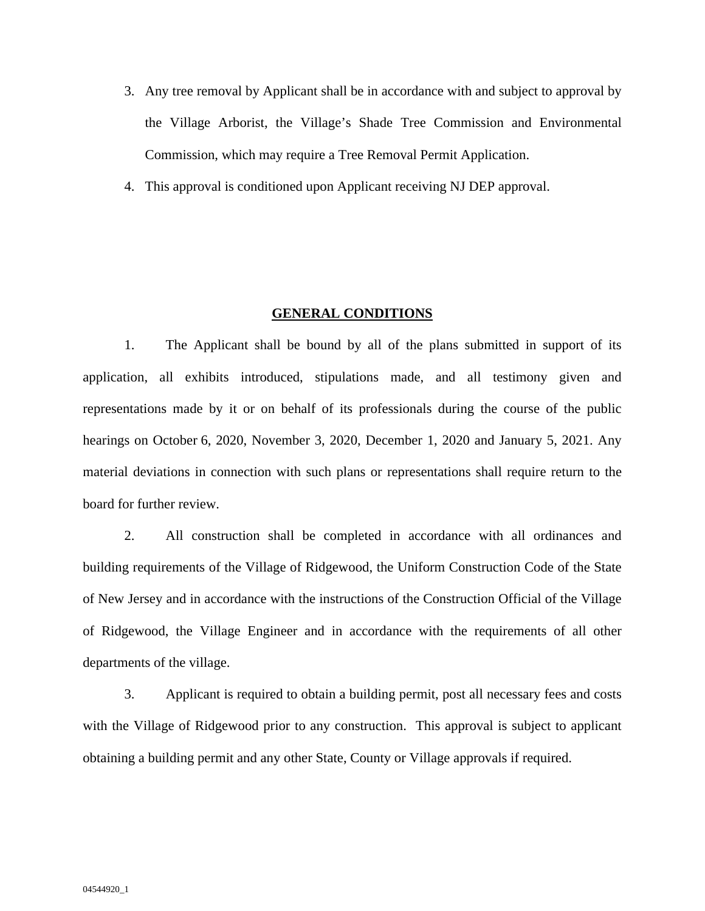- 3. Any tree removal by Applicant shall be in accordance with and subject to approval by the Village Arborist, the Village's Shade Tree Commission and Environmental Commission, which may require a Tree Removal Permit Application.
- 4. This approval is conditioned upon Applicant receiving NJ DEP approval.

#### **GENERAL CONDITIONS**

1. The Applicant shall be bound by all of the plans submitted in support of its application, all exhibits introduced, stipulations made, and all testimony given and representations made by it or on behalf of its professionals during the course of the public hearings on October 6, 2020, November 3, 2020, December 1, 2020 and January 5, 2021. Any material deviations in connection with such plans or representations shall require return to the board for further review.

2. All construction shall be completed in accordance with all ordinances and building requirements of the Village of Ridgewood, the Uniform Construction Code of the State of New Jersey and in accordance with the instructions of the Construction Official of the Village of Ridgewood, the Village Engineer and in accordance with the requirements of all other departments of the village.

3. Applicant is required to obtain a building permit, post all necessary fees and costs with the Village of Ridgewood prior to any construction. This approval is subject to applicant obtaining a building permit and any other State, County or Village approvals if required.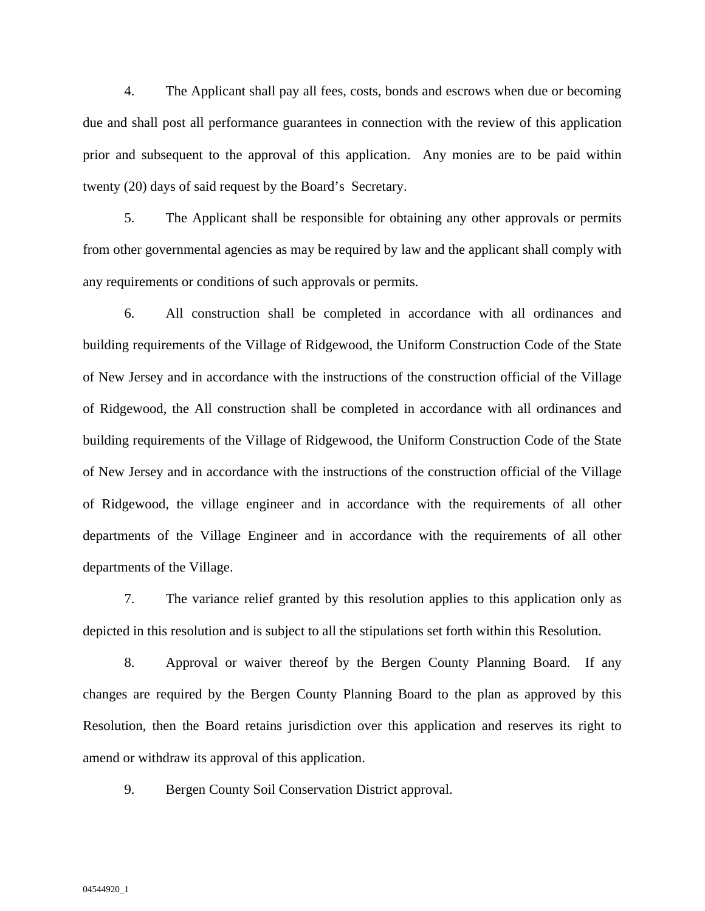4. The Applicant shall pay all fees, costs, bonds and escrows when due or becoming due and shall post all performance guarantees in connection with the review of this application prior and subsequent to the approval of this application. Any monies are to be paid within twenty (20) days of said request by the Board's Secretary.

5. The Applicant shall be responsible for obtaining any other approvals or permits from other governmental agencies as may be required by law and the applicant shall comply with any requirements or conditions of such approvals or permits.

6. All construction shall be completed in accordance with all ordinances and building requirements of the Village of Ridgewood, the Uniform Construction Code of the State of New Jersey and in accordance with the instructions of the construction official of the Village of Ridgewood, the All construction shall be completed in accordance with all ordinances and building requirements of the Village of Ridgewood, the Uniform Construction Code of the State of New Jersey and in accordance with the instructions of the construction official of the Village of Ridgewood, the village engineer and in accordance with the requirements of all other departments of the Village Engineer and in accordance with the requirements of all other departments of the Village.

7. The variance relief granted by this resolution applies to this application only as depicted in this resolution and is subject to all the stipulations set forth within this Resolution.

8. Approval or waiver thereof by the Bergen County Planning Board. If any changes are required by the Bergen County Planning Board to the plan as approved by this Resolution, then the Board retains jurisdiction over this application and reserves its right to amend or withdraw its approval of this application.

9. Bergen County Soil Conservation District approval.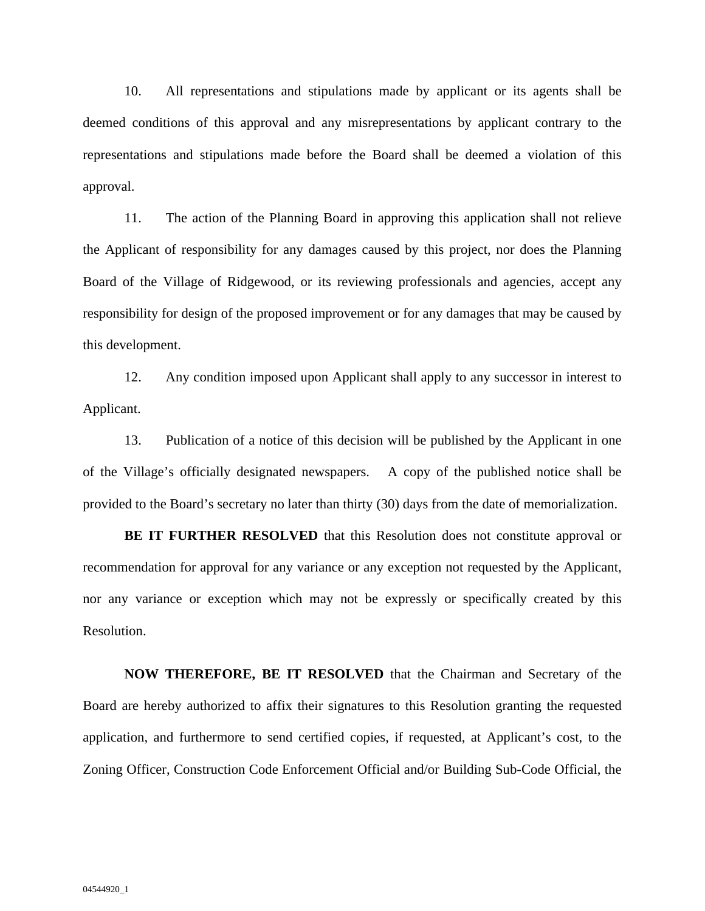10. All representations and stipulations made by applicant or its agents shall be deemed conditions of this approval and any misrepresentations by applicant contrary to the representations and stipulations made before the Board shall be deemed a violation of this approval.

11. The action of the Planning Board in approving this application shall not relieve the Applicant of responsibility for any damages caused by this project, nor does the Planning Board of the Village of Ridgewood, or its reviewing professionals and agencies, accept any responsibility for design of the proposed improvement or for any damages that may be caused by this development.

12. Any condition imposed upon Applicant shall apply to any successor in interest to Applicant.

13. Publication of a notice of this decision will be published by the Applicant in one of the Village's officially designated newspapers. A copy of the published notice shall be provided to the Board's secretary no later than thirty (30) days from the date of memorialization.

**BE IT FURTHER RESOLVED** that this Resolution does not constitute approval or recommendation for approval for any variance or any exception not requested by the Applicant, nor any variance or exception which may not be expressly or specifically created by this Resolution.

**NOW THEREFORE, BE IT RESOLVED** that the Chairman and Secretary of the Board are hereby authorized to affix their signatures to this Resolution granting the requested application, and furthermore to send certified copies, if requested, at Applicant's cost, to the Zoning Officer, Construction Code Enforcement Official and/or Building Sub-Code Official, the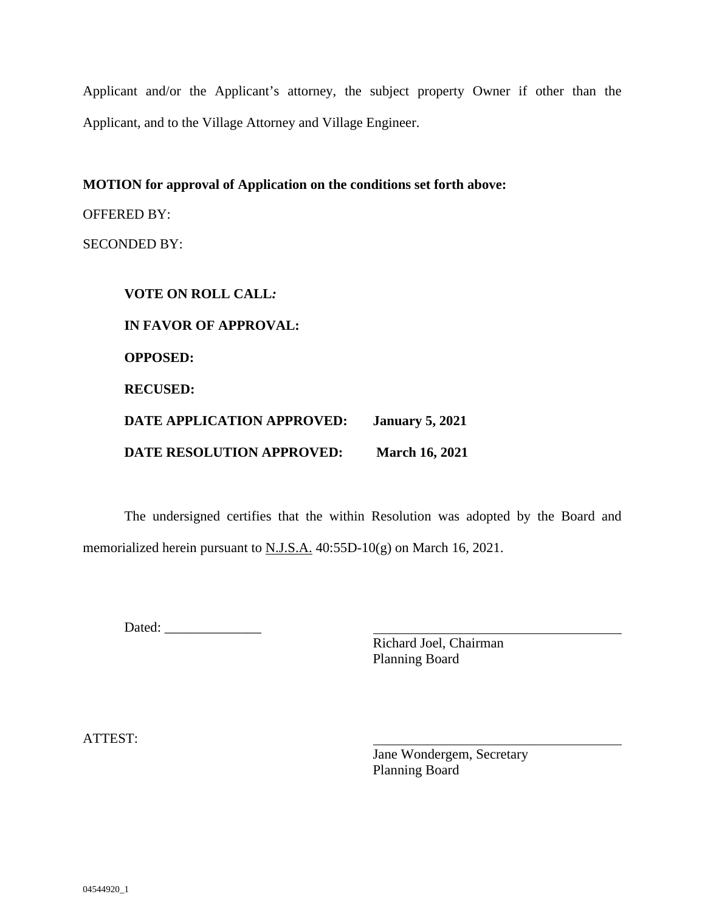Applicant and/or the Applicant's attorney, the subject property Owner if other than the Applicant, and to the Village Attorney and Village Engineer.

**MOTION for approval of Application on the conditions set forth above:**

OFFERED BY:

SECONDED BY:

**VOTE ON ROLL CALL***:*  **IN FAVOR OF APPROVAL: OPPOSED: RECUSED: DATE APPLICATION APPROVED: January 5, 2021 DATE RESOLUTION APPROVED: March 16, 2021** 

The undersigned certifies that the within Resolution was adopted by the Board and memorialized herein pursuant to N.J.S.A. 40:55D-10(g) on March 16, 2021.

Dated:

 Richard Joel, Chairman Planning Board

ATTEST:

 Jane Wondergem, Secretary Planning Board